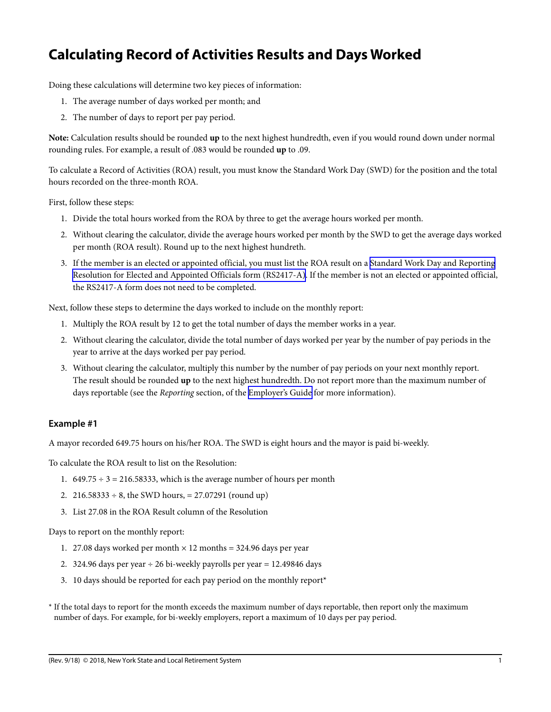## **Calculating Record of Activities Results and Days Worked**

Doing these calculations will determine two key pieces of information:

- 1. The average number of days worked per month; and
- 2. The number of days to report per pay period.

**Note:** Calculation results should be rounded **up** to the next highest hundredth, even if you would round down under normal rounding rules. For example, a result of .083 would be rounded **up** to .09.

To calculate a Record of Activities (ROA) result, you must know the Standard Work Day (SWD) for the position and the total hours recorded on the three-month ROA.

First, follow these steps:

- 1. Divide the total hours worked from the ROA by three to get the average hours worked per month.
- 2. Without clearing the calculator, divide the average hours worked per month by the SWD to get the average days worked per month (ROA result). Round up to the next highest hundreth.
- 3. If the member is an elected or appointed official, you must list the ROA result on a [Standard Work Day and Reporting](https://www.osc.state.ny.us/retire/forms/employer_reporting/rs2417-a.pdf) [Resolution for Elected and Appointed Officials form \(RS2417-A\).](https://www.osc.state.ny.us/retire/forms/employer_reporting/rs2417-a.pdf) If the member is not an elected or appointed official, the RS2417-A form does not need to be completed.

Next, follow these steps to determine the days worked to include on the monthly report:

- 1. Multiply the ROA result by 12 to get the total number of days the member works in a year.
- 2. Without clearing the calculator, divide the total number of days worked per year by the number of pay periods in the year to arrive at the days worked per pay period.
- 3. Without clearing the calculator, multiply this number by the number of pay periods on your next monthly report. The result should be rounded **up** to the next highest hundredth. Do not report more than the maximum number of days reportable (see the *Reporting* section, of the [Employer's Guide](https://www.osc.state.ny.us/retire/employers/employers-guide/index.php) for more information).

## **Example #1**

A mayor recorded 649.75 hours on his/her ROA. The SWD is eight hours and the mayor is paid bi-weekly.

To calculate the ROA result to list on the Resolution:

- 1.  $649.75 \div 3 = 216.58333$ , which is the average number of hours per month
- 2.  $216.58333 \div 8$ , the SWD hours, = 27.07291 (round up)
- 3. List 27.08 in the ROA Result column of the Resolution

Days to report on the monthly report:

- 1. 27.08 days worked per month  $\times$  12 months = 324.96 days per year
- 2. 324.96 days per year  $\div$  26 bi-weekly payrolls per year = 12.49846 days
- 3. 10 days should be reported for each pay period on the monthly report\*
- \* If the total days to report for the month exceeds the maximum number of days reportable, then report only the maximum number of days. For example, for bi-weekly employers, report a maximum of 10 days per pay period.